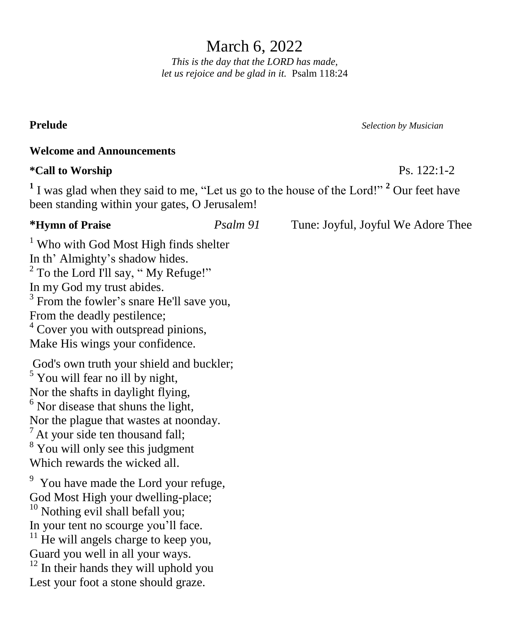March 6, 2022 *This is the day that the LORD has made,*

*let us rejoice and be glad in it.* Psalm 118:24

**Welcome and Announcements**

# **\*Call to Worship** Ps. 122:1-2

**1** I was glad when they said to me, "Let us go to the house of the Lord!" **<sup>2</sup>** Our feet have been standing within your gates, O Jerusalem!

**Prelude** *Selection by Musician*

<sup>1</sup> Who with God Most High finds shelter In th' Almighty's shadow hides. <sup>2</sup> To the Lord I'll say, " My Refuge!" In my God my trust abides. <sup>3</sup> From the fowler's snare He'll save you, From the deadly pestilence;  $4$  Cover you with outspread pinions, Make His wings your confidence.

God's own truth your shield and buckler;  $<sup>5</sup>$  You will fear no ill by night,</sup> Nor the shafts in daylight flying,  $<sup>6</sup>$  Nor disease that shuns the light,</sup> Nor the plague that wastes at noonday.  $<sup>7</sup>$  At your side ten thousand fall;</sup> <sup>8</sup> You will only see this judgment Which rewards the wicked all.

<sup>9</sup> You have made the Lord your refuge, God Most High your dwelling-place;

 $10$  Nothing evil shall befall you; In your tent no scourge you'll face.

 $11$  He will angels charge to keep you, Guard you well in all your ways.

 $12$  In their hands they will uphold you Lest your foot a stone should graze.

**\*Hymn of Praise** *Psalm 91* Tune: Joyful, Joyful We Adore Thee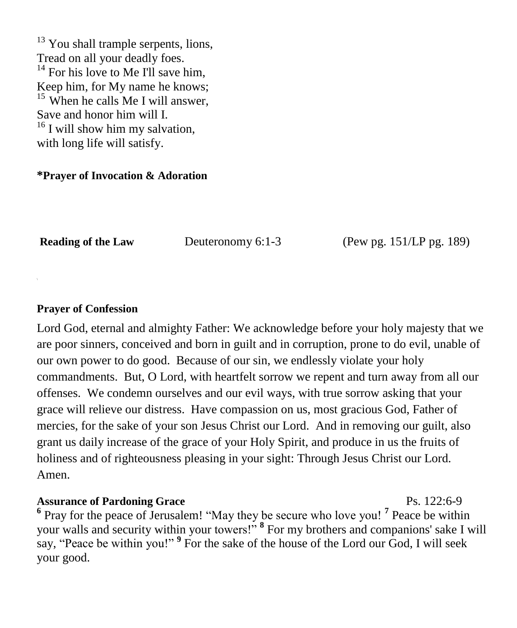$13$  You shall trample serpents, lions, Tread on all your deadly foes.  $14$  For his love to Me I'll save him, Keep him, for My name he knows;  $15$  When he calls Me I will answer, Save and honor him will I.  $16$  I will show him my salvation, with long life will satisfy.

### **\*Prayer of Invocation & Adoration**

**Reading of the Law** Deuteronomy 6:1-3 (Pew pg. 151/LP pg. 189)

#### **Prayer of Confession**

Lord God, eternal and almighty Father: We acknowledge before your holy majesty that we are poor sinners, conceived and born in guilt and in corruption, prone to do evil, unable of our own power to do good. Because of our sin, we endlessly violate your holy commandments. But, O Lord, with heartfelt sorrow we repent and turn away from all our offenses. We condemn ourselves and our evil ways, with true sorrow asking that your grace will relieve our distress. Have compassion on us, most gracious God, Father of mercies, for the sake of your son Jesus Christ our Lord. And in removing our guilt, also grant us daily increase of the grace of your Holy Spirit, and produce in us the fruits of holiness and of righteousness pleasing in your sight: Through Jesus Christ our Lord. Amen.

# **Assurance of Pardoning Grace** Ps. 122:6-9

**6** Pray for the peace of Jerusalem! "May they be secure who love you! **<sup>7</sup>** Peace be within your walls and security within your towers!" **<sup>8</sup>** For my brothers and companions' sake I will say, "Peace be within you!"<sup>9</sup> For the sake of the house of the Lord our God, I will seek your good.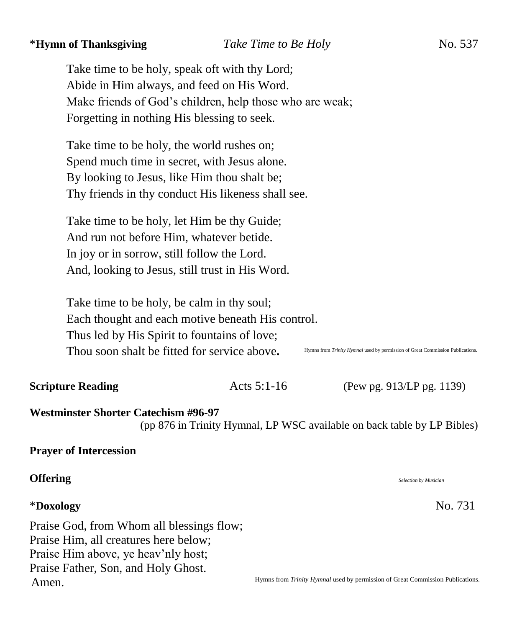# \***Hymn of Thanksgiving** *Take Time to Be Holy* No. 537

Take time to be holy, speak oft with thy Lord; Abide in Him always, and feed on His Word. Make friends of God's children, help those who are weak; Forgetting in nothing His blessing to seek.

Take time to be holy, the world rushes on; Spend much time in secret, with Jesus alone. By looking to Jesus, like Him thou shalt be; Thy friends in thy conduct His likeness shall see.

Take time to be holy, let Him be thy Guide; And run not before Him, whatever betide. In joy or in sorrow, still follow the Lord. And, looking to Jesus, still trust in His Word.

Take time to be holy, be calm in thy soul; Each thought and each motive beneath His control. Thus led by His Spirit to fountains of love; Thou soon shalt be fitted for service above**.** 

Hymns from *Trinity Hymnal* used by permission of Great Commission Publications.

**Scripture Reading**  $\left( \text{Pew pg. 913/LP pg. 1139} \right)$ 

### **Westminster Shorter Catechism #96-97**

(pp 876 in Trinity Hymnal, LP WSC available on back table by LP Bibles)

#### **Prayer of Intercession**

#### **Offering** *Selection by Musician*

### \***Doxology** No. 731

Praise God, from Whom all blessings flow; Praise Him, all creatures here below; Praise Him above, ye heav'nly host; Praise Father, Son, and Holy Ghost. Amen.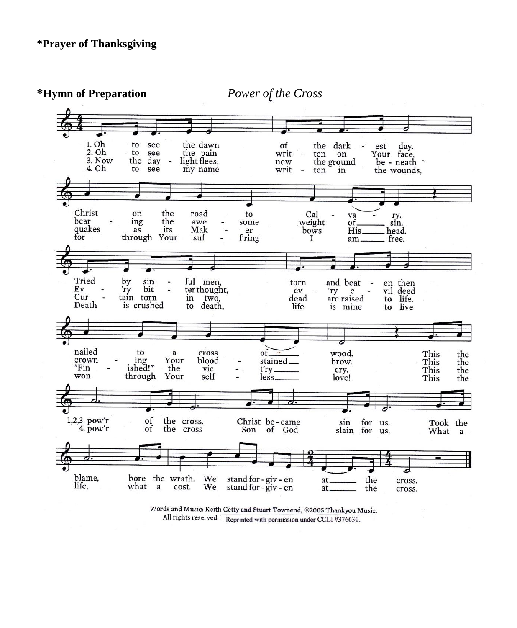

Words and Music: Keith Getty and Stuart Townend; @2005 Thankyou Music. All rights reserved. Reprinted with permission under CCLI #376630.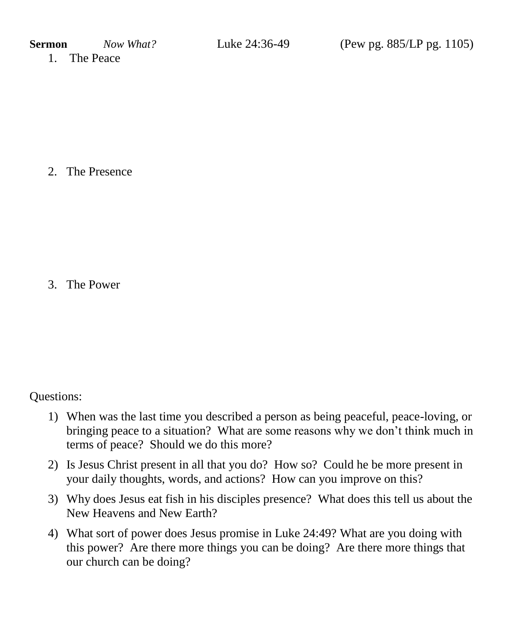1. The Peace

2. The Presence

3. The Power

Questions:

- 1) When was the last time you described a person as being peaceful, peace-loving, or bringing peace to a situation? What are some reasons why we don't think much in terms of peace? Should we do this more?
- 2) Is Jesus Christ present in all that you do? How so? Could he be more present in your daily thoughts, words, and actions? How can you improve on this?
- 3) Why does Jesus eat fish in his disciples presence? What does this tell us about the New Heavens and New Earth?
- 4) What sort of power does Jesus promise in Luke 24:49? What are you doing with this power? Are there more things you can be doing? Are there more things that our church can be doing?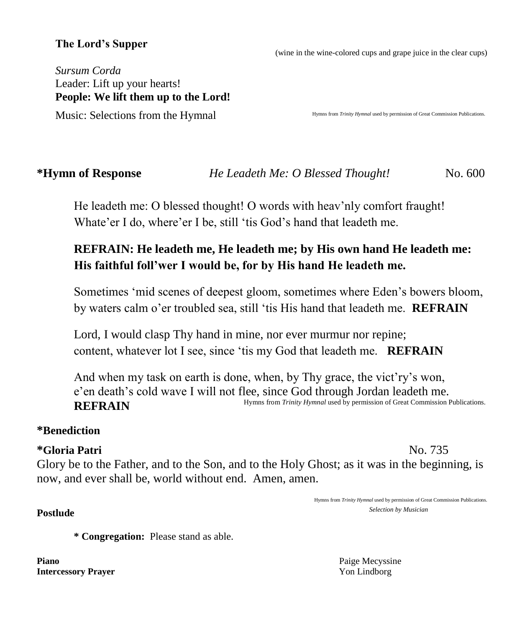# **The Lord's Supper**

(wine in the wine-colored cups and grape juice in the clear cups)

*Sursum Corda* Leader: Lift up your hearts! **People: We lift them up to the Lord!**  Music: Selections from the Hymnal

Hymns from *Trinity Hymnal* used by permission of Great Commission Publications.

**\*Hymn of Response** *He Leadeth Me: O Blessed Thought!*No. 600

He leadeth me: O blessed thought! O words with heav'nly comfort fraught! Whate'er I do, where'er I be, still 'tis God's hand that leadeth me.

# **REFRAIN: He leadeth me, He leadeth me; by His own hand He leadeth me: His faithful foll'wer I would be, for by His hand He leadeth me.**

Sometimes 'mid scenes of deepest gloom, sometimes where Eden's bowers bloom, by waters calm o'er troubled sea, still 'tis His hand that leadeth me. **REFRAIN**

Lord, I would clasp Thy hand in mine, nor ever murmur nor repine; content, whatever lot I see, since 'tis my God that leadeth me. **REFRAIN**

And when my task on earth is done, when, by Thy grace, the vict'ry's won, e'en death's cold wave I will not flee, since God through Jordan leadeth me. **REFRAIN**  Hymns from *Trinity Hymnal* used by permission of Great Commission Publications.

# **\*Benediction**

### **\*Gloria Patri** No. 735

Glory be to the Father, and to the Son, and to the Holy Ghost; as it was in the beginning, is now, and ever shall be, world without end. Amen, amen.

**\* Congregation:** Please stand as able.

**Piano** Paige Mecyssine **Intercessory Prayer** Yon Lindborg

Hymns from *Trinity Hymnal* used by permission of Great Commission Publications. **Postlude** *Selection by Musician* Selection by Musician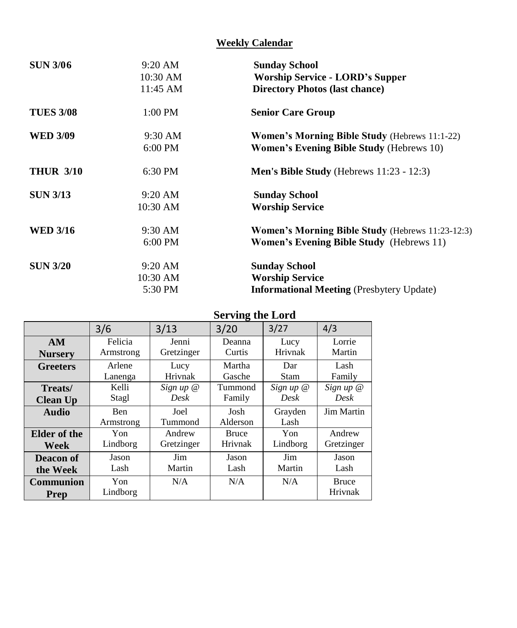# **Weekly Calendar**

| 10:30 AM<br><b>Worship Service - LORD's Supper</b><br>11:45 AM<br><b>Directory Photos (last chance)</b><br>$1:00$ PM<br><b>Senior Care Group</b><br>$9:30 \text{ AM}$<br><b>Women's Morning Bible Study (Hebrews 11:1-22)</b><br>Women's Evening Bible Study (Hebrews 10)<br>$6:00$ PM<br>$6:30$ PM<br><b>Men's Bible Study</b> (Hebrews $11:23 - 12:3$ )<br>$9:20$ AM<br><b>Sunday School</b><br><b>Worship Service</b><br>$10:30$ AM<br><b>Women's Morning Bible Study (Hebrews 11:23-12:3)</b><br>9:30 AM<br><b>Women's Evening Bible Study</b> (Hebrews 11)<br>$6:00$ PM<br>$9:20$ AM<br><b>Sunday School</b><br><b>Worship Service</b><br>$10:30$ AM<br>5:30 PM<br><b>Informational Meeting (Presbytery Update)</b> | <b>SUN 3/06</b>  | $9:20$ AM | <b>Sunday School</b> |
|--------------------------------------------------------------------------------------------------------------------------------------------------------------------------------------------------------------------------------------------------------------------------------------------------------------------------------------------------------------------------------------------------------------------------------------------------------------------------------------------------------------------------------------------------------------------------------------------------------------------------------------------------------------------------------------------------------------------------|------------------|-----------|----------------------|
|                                                                                                                                                                                                                                                                                                                                                                                                                                                                                                                                                                                                                                                                                                                          |                  |           |                      |
|                                                                                                                                                                                                                                                                                                                                                                                                                                                                                                                                                                                                                                                                                                                          |                  |           |                      |
|                                                                                                                                                                                                                                                                                                                                                                                                                                                                                                                                                                                                                                                                                                                          | <b>TUES 3/08</b> |           |                      |
|                                                                                                                                                                                                                                                                                                                                                                                                                                                                                                                                                                                                                                                                                                                          | <b>WED 3/09</b>  |           |                      |
|                                                                                                                                                                                                                                                                                                                                                                                                                                                                                                                                                                                                                                                                                                                          |                  |           |                      |
|                                                                                                                                                                                                                                                                                                                                                                                                                                                                                                                                                                                                                                                                                                                          | <b>THUR 3/10</b> |           |                      |
|                                                                                                                                                                                                                                                                                                                                                                                                                                                                                                                                                                                                                                                                                                                          | <b>SUN 3/13</b>  |           |                      |
|                                                                                                                                                                                                                                                                                                                                                                                                                                                                                                                                                                                                                                                                                                                          |                  |           |                      |
|                                                                                                                                                                                                                                                                                                                                                                                                                                                                                                                                                                                                                                                                                                                          | <b>WED 3/16</b>  |           |                      |
|                                                                                                                                                                                                                                                                                                                                                                                                                                                                                                                                                                                                                                                                                                                          |                  |           |                      |
|                                                                                                                                                                                                                                                                                                                                                                                                                                                                                                                                                                                                                                                                                                                          | <b>SUN 3/20</b>  |           |                      |
|                                                                                                                                                                                                                                                                                                                                                                                                                                                                                                                                                                                                                                                                                                                          |                  |           |                      |
|                                                                                                                                                                                                                                                                                                                                                                                                                                                                                                                                                                                                                                                                                                                          |                  |           |                      |

|                     | DEI VIIIG UIT LUI U |                  |              |                  |            |  |
|---------------------|---------------------|------------------|--------------|------------------|------------|--|
|                     | 3/6                 | 3/13             | 3/20         | 3/27             | 4/3        |  |
| AM                  | Felicia             | Jenni            | Deanna       | Lucy             | Lorrie     |  |
| <b>Nursery</b>      | Armstrong           | Gretzinger       | Curtis       | Hrivnak          | Martin     |  |
| <b>Greeters</b>     | Arlene              | Lucy             | Martha       | Dar              | Lash       |  |
|                     | Lanenga             | Hrivnak          | Gasche       | Stam             | Family     |  |
| Treats/             | Kelli               | Sign up $\omega$ | Tummond      | Sign up $\omega$ | Sign up @  |  |
| <b>Clean Up</b>     | Stagl               | Desk             | Family       | Desk             | Desk       |  |
| <b>Audio</b>        | <b>Ben</b>          | Joel             | Josh         | Grayden          | Jim Martin |  |
|                     | Armstrong           | Tummond          | Alderson     | Lash             |            |  |
| <b>Elder</b> of the | Yon                 | Andrew           | <b>Bruce</b> | Yon              | Andrew     |  |
| Week                | Lindborg            | Gretzinger       | Hrivnak      | Lindborg         | Gretzinger |  |
| Deacon of           | Jason               | Jim              | Jason        | Jim              | Jason      |  |
| the Week            | Lash                | Martin           | Lash         | Martin           | Lash       |  |
| Communion           | Yon                 | N/A              | N/A          | N/A              | Bruce      |  |
| Prep                | Lindborg            |                  |              |                  | Hrivnak    |  |

Γ

**Serving the Lord**